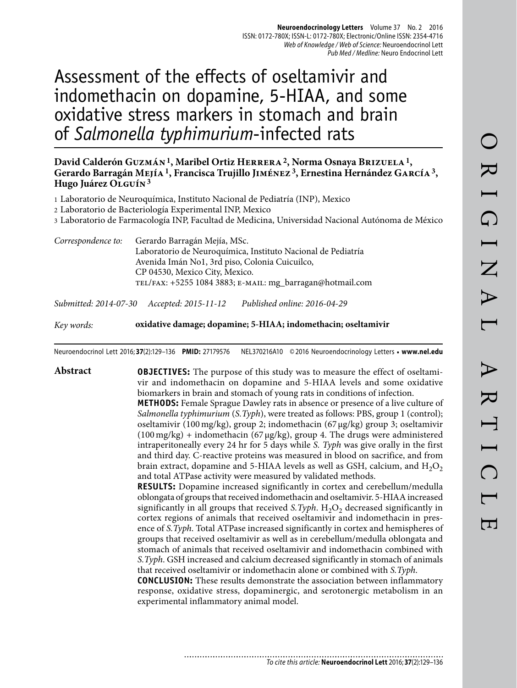# Assessment of the effects of oseltamivir and indomethacin on dopamine, 5-HIAA, and some oxidative stress markers in stomach and brain of *Salmonella typhimurium*-infected rats

#### **David Calderón Guzmán 1, Maribel Ortiz Herrera 2, Norma Osnaya Brizuela 1, Gerardo Barragán Mejía 1, Francisca Trujillo Jiménez 3, Ernestina Hernández García 3, Hugo Juárez Olguín 3**

- 1 Laboratorio de Neuroquímica, Instituto Nacional de Pediatría (INP), Mexico
- 2 Laboratorio de Bacteriología Experimental INP, Mexico
- 3 Laboratorio de Farmacología INP, Facultad de Medicina, Universidad Nacional Autónoma de México
- *Correspondence to:* Gerardo Barragán Mejía, MSc. Laboratorio de Neuroquímica, Instituto Nacional de Pediatría Avenida Imán No1, 3rd piso, Colonia Cuicuilco, CP 04530, Mexico City, Mexico. tel/fax: +5255 1084 3883; e-mail: mg\_barragan@hotmail.com

*Submitted: 2014-07-30 Accepted: 2015-11-12 Published online: 2016-04-29*

*Key words:* **oxidative damage; dopamine; 5-HIAA; indomethacin; oseltamivir**

Neuroendocrinol Lett 2016; **37**(2):129–136 **PMID:** 27179576 NEL370216A10 © 2016 Neuroendocrinology Letters • **www.nel.edu**

**Abstract OBJECTIVES:** The purpose of this study was to measure the effect of oseltamivir and indomethacin on dopamine and 5-HIAA levels and some oxidative biomarkers in brain and stomach of young rats in conditions of infection.

> **METHODS:** Female Sprague Dawley rats in absence or presence of a live culture of *Salmonella typhimurium* (*S.Typh*), were treated as follows: PBS, group 1 (control); oseltamivir (100 mg/kg), group 2; indomethacin (67 μg/kg) group 3; oseltamivir  $(100 \text{ mg/kg})$  + indomethacin  $(67 \mu g/kg)$ , group 4. The drugs were administered intraperitoneally every 24 hr for 5 days while *S. Typh* was give orally in the first and third day. C-reactive proteins was measured in blood on sacrifice, and from brain extract, dopamine and 5-HIAA levels as well as GSH, calcium, and  $H_2O_2$ and total ATPase activity were measured by validated methods.

> **RESULTS:** Dopamine increased significantly in cortex and cerebellum/medulla oblongata of groups that received indomethacin and oseltamivir. 5-HIAA increased significantly in all groups that received *S.Typh*.  $H_2O_2$  decreased significantly in cortex regions of animals that received oseltamivir and indomethacin in presence of *S.Typh*. Total ATPase increased significantly in cortex and hemispheres of groups that received oseltamivir as well as in cerebellum/medulla oblongata and stomach of animals that received oseltamivir and indomethacin combined with *S.Typh*. GSH increased and calcium decreased significantly in stomach of animals that received oseltamivir or indomethacin alone or combined with *S.Typh*.

> **CONCLUSION:** These results demonstrate the association between inflammatory response, oxidative stress, dopaminergic, and serotonergic metabolism in an experimental inflammatory animal model.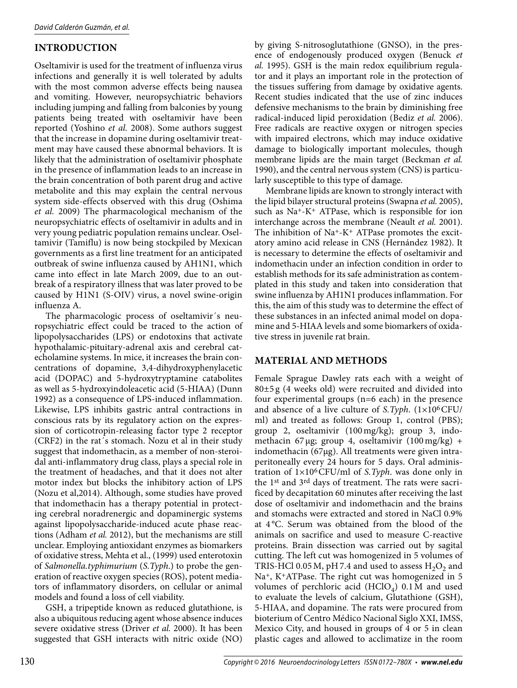## **INTRODUCTION**

Oseltamivir is used for the treatment of influenza virus infections and generally it is well tolerated by adults with the most common adverse effects being nausea and vomiting. However, neuropsychiatric behaviors including jumping and falling from balconies by young patients being treated with oseltamivir have been reported (Yoshino *et al.* 2008). Some authors suggest that the increase in dopamine during oseltamivir treatment may have caused these abnormal behaviors. It is likely that the administration of oseltamivir phosphate in the presence of inflammation leads to an increase in the brain concentration of both parent drug and active metabolite and this may explain the central nervous system side-effects observed with this drug (Oshima *et al.* 2009) The pharmacological mechanism of the neuropsychiatric effects of oseltamivir in adults and in very young pediatric population remains unclear. Oseltamivir (Tamiflu) is now being stockpiled by Mexican governments as a first line treatment for an anticipated outbreak of swine influenza caused by AH1N1, which came into effect in late March 2009, due to an outbreak of a respiratory illness that was later proved to be caused by H1N1 (S-OIV) virus, a novel swine-origin influenza A.

The pharmacologic process of oseltamivir´s neuropsychiatric effect could be traced to the action of lipopolysaccharides (LPS) or endotoxins that activate hypothalamic-pituitary-adrenal axis and cerebral catecholamine systems. In mice, it increases the brain concentrations of dopamine, 3,4-dihydroxyphenylacetic acid (DOPAC) and 5-hydroxytryptamine catabolites as well as 5-hydroxyindoleacetic acid (5-HIAA) (Dunn 1992) as a consequence of LPS-induced inflammation. Likewise, LPS inhibits gastric antral contractions in conscious rats by its regulatory action on the expression of corticotropin-releasing factor type 2 receptor (CRF2) in the rat´s stomach. Nozu et al in their study suggest that indomethacin, as a member of non-steroidal anti-inflammatory drug class, plays a special role in the treatment of headaches, and that it does not alter motor index but blocks the inhibitory action of LPS (Nozu et al,2014). Although, some studies have proved that indomethacin has a therapy potential in protecting cerebral noradrenergic and dopaminergic systems against lipopolysaccharide-induced acute phase reactions (Adham *et al.* 2012), but the mechanisms are still unclear. Employing antioxidant enzymes as biomarkers of oxidative stress, Mehta et al., (1999) used enterotoxin of *Salmonella.typhimurium* (*S.Typh*.) to probe the generation of reactive oxygen species (ROS), potent mediators of inflammatory disorders, on cellular or animal models and found a loss of cell viability.

GSH, a tripeptide known as reduced glutathione, is also a ubiquitous reducing agent whose absence induces severe oxidative stress (Driver *et al.* 2000). It has been suggested that GSH interacts with nitric oxide (NO)

by giving S-nitrosoglutathione (GNSO), in the presence of endogenously produced oxygen (Benuck *et al.* 1995). GSH is the main redox equilibrium regulator and it plays an important role in the protection of the tissues suffering from damage by oxidative agents. Recent studies indicated that the use of zinc induces defensive mechanisms to the brain by diminishing free radical-induced lipid peroxidation (Bediz *et al.* 2006). Free radicals are reactive oxygen or nitrogen species with impaired electrons, which may induce oxidative damage to biologically important molecules, though membrane lipids are the main target (Beckman *et al.*  1990), and the central nervous system (CNS) is particularly susceptible to this type of damage.

Membrane lipids are known to strongly interact with the lipid bilayer structural proteins (Swapna *et al.* 2005), such as Na+-K+ ATPase, which is responsible for ion interchange across the membrane (Neault *et al.* 2001). The inhibition of  $Na^+K^+$  ATPase promotes the excitatory amino acid release in CNS (Hernández 1982). It is necessary to determine the effects of oseltamivir and indomethacin under an infection condition in order to establish methods for its safe administration as contemplated in this study and taken into consideration that swine influenza by AH1N1 produces inflammation. For this, the aim of this study was to determine the effect of these substances in an infected animal model on dopamine and 5-HIAA levels and some biomarkers of oxidative stress in juvenile rat brain.

#### **MATERIAL AND METHODS**

Female Sprague Dawley rats each with a weight of  $80±5 g$  (4 weeks old) were recruited and divided into four experimental groups (n=6 each) in the presence and absence of a live culture of *S.Typh*. (1×106 CFU/ ml) and treated as follows: Group 1, control (PBS); group 2, oseltamivir (100 mg/kg); group 3, indomethacin 67 μg; group 4, oseltamivir (100 mg/kg) + indomethacin (67μg). All treatments were given intraperitoneally every 24 hours for 5 days. Oral administration of 1×106 CFU/ml of *S.Typh*. was done only in the 1st and 3rd days of treatment. The rats were sacrificed by decapitation 60 minutes after receiving the last dose of oseltamivir and indomethacin and the brains and stomachs were extracted and stored in NaCl 0.9% at 4 °C. Serum was obtained from the blood of the animals on sacrifice and used to measure C-reactive proteins. Brain dissection was carried out by sagital cutting. The left cut was homogenized in 5 volumes of TRIS-HCl 0.05 M, pH 7.4 and used to assess  $H_2O_2$  and Na+, K+ATPase. The right cut was homogenized in 5 volumes of perchloric acid (HClO<sub>4</sub>)  $0.1 M$  and used to evaluate the levels of calcium, Glutathione (GSH), 5-HIAA, and dopamine. The rats were procured from bioterium of Centro Médico Nacional Siglo XXI, IMSS, Mexico City, and housed in groups of 4 or 5 in clean plastic cages and allowed to acclimatize in the room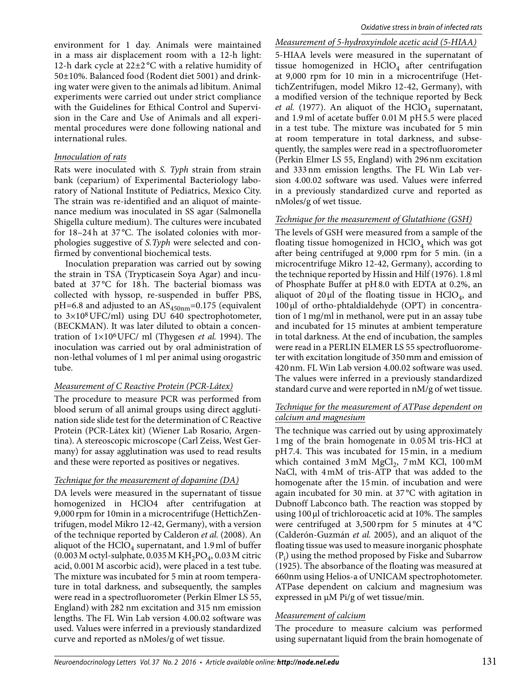environment for 1 day. Animals were maintained in a mass air displacement room with a 12-h light: 12-h dark cycle at 22±2 °C with a relative humidity of 50±10%. Balanced food (Rodent diet 5001) and drinking water were given to the animals ad libitum. Animal experiments were carried out under strict compliance with the Guidelines for Ethical Control and Supervision in the Care and Use of Animals and all experimental procedures were done following national and international rules.

#### *Innoculation of rats*

Rats were inoculated with *S. Typh* strain from strain bank (ceparium) of Experimental Bacteriology laboratory of National Institute of Pediatrics, Mexico City. The strain was re-identified and an aliquot of maintenance medium was inoculated in SS agar (Salmonella Shigella culture medium). The cultures were incubated for 18–24h at 37°C. The isolated colonies with morphologies suggestive of *S.Typh* were selected and confirmed by conventional biochemical tests.

Inoculation preparation was carried out by sowing the strain in TSA (Trypticasein Soya Agar) and incubated at 37°C for 18h. The bacterial biomass was collected with hyssop, re-suspended in buffer PBS,  $pH=6.8$  and adjusted to an  $AS_{450nm}=0.175$  (equivalent to 3×108 UFC/ml) using DU 640 spectrophotometer, (BECKMAN). It was later diluted to obtain a concentration of 1×106 UFC/ ml (Thygesen *et al.* 1994). The inoculation was carried out by oral administration of non-lethal volumes of 1 ml per animal using orogastric tube.

#### *Measurement of C Reactive Protein (PCR-Látex)*

The procedure to measure PCR was performed from blood serum of all animal groups using direct agglutination side slide test for the determination of C Reactive Protein (PCR-Látex kit) (Wiener Lab Rosario, Argentina). A stereoscopic microscope (Carl Zeiss, West Germany) for assay agglutination was used to read results and these were reported as positives or negatives.

#### *Technique for the measurement of dopamine (DA)*

DA levels were measured in the supernatant of tissue homogenized in HClO4 after centrifugation at 9,000 rpm for 10min in a microcentrifuge (HettichZentrifugen, model Mikro 12-42, Germany), with a version of the technique reported by Calderon *et al.* (2008). An aliquot of the  $HClO<sub>4</sub>$  supernatant, and 1.9 ml of buffer  $(0.003 \text{ M octyl-subplate}, 0.035 \text{ M KH}_{2} \text{PO}_{4}, 0.03 \text{ M citric})$ acid, 0.001 M ascorbic acid), were placed in a test tube. The mixture was incubated for 5 min at room temperature in total darkness, and subsequently, the samples were read in a spectrofluorometer (Perkin Elmer LS 55, England) with 282 nm excitation and 315 nm emission lengths. The FL Win Lab version 4.00.02 software was used. Values were inferred in a previously standardized curve and reported as nMoles/g of wet tissue.

*Measurement of 5-hydroxyindole acetic acid (5-HIAA)* 5-HIAA levels were measured in the supernatant of tissue homogenized in  $HClO<sub>4</sub>$  after centrifugation at 9,000 rpm for 10 min in a microcentrifuge (HettichZentrifugen, model Mikro 12-42, Germany), with a modified version of the technique reported by Beck *et al.* (1977). An aliquot of the  $HClO<sub>4</sub>$  supernatant, and 1.9 ml of acetate buffer 0.01 M pH 5.5 were placed in a test tube. The mixture was incubated for 5 min at room temperature in total darkness, and subsequently, the samples were read in a spectrofluorometer (Perkin Elmer LS 55, England) with 296 nm excitation and 333 nm emission lengths. The FL Win Lab version 4.00.02 software was used. Values were inferred in a previously standardized curve and reported as nMoles/g of wet tissue.

#### *Technique for the measurement of Glutathione (GSH)*

The levels of GSH were measured from a sample of the floating tissue homogenized in  $HClO<sub>4</sub>$  which was got after being centrifuged at 9,000 rpm for 5 min. (in a microcentrifuge Mikro 12-42, Germany), according to the technique reported by Hissin and Hilf (1976). 1.8 ml of Phosphate Buffer at pH 8.0 with EDTA at 0.2%, an aliquot of 20  $\mu$ l of the floating tissue in HClO<sub>4</sub>, and 100 μl of ortho-phtaldialdehyde (OPT) in concentration of 1 mg/ml in methanol, were put in an assay tube and incubated for 15 minutes at ambient temperature in total darkness. At the end of incubation, the samples were read in a PERLIN ELMER LS 55 spectrofluorometer with excitation longitude of 350 mm and emission of 420 nm. FL Win Lab version 4.00.02 software was used. The values were inferred in a previously standardized standard curve and were reported in nM/g of wet tissue.

#### *Technique for the measurement of ATPase dependent on calcium and magnesium*

The technique was carried out by using approximately 1 mg of the brain homogenate in 0.05 M tris-HCl at pH 7.4. This was incubated for 15 min, in a medium which contained  $3 \text{ mM } MgCl_2$ ,  $7 \text{ mM } KCl$ ,  $100 \text{ mM}$ NaCl, with 4 mM of tris-ATP that was added to the homogenate after the 15 min. of incubation and were again incubated for 30 min. at 37 °C with agitation in Dubnoff Labconco bath. The reaction was stopped by using 100 μl of trichloroacetic acid at 10%. The samples were centrifuged at 3,500 rpm for 5 minutes at 4 °C (Calderón-Guzmán *et al.* 2005), and an aliquot of the floating tissue was used to measure inorganic phosphate  $(\mathrm{P_i})$  using the method proposed by Fiske and Subarrow (1925). The absorbance of the floating was measured at 660nm using Helios-a of UNICAM spectrophotometer. ATPase dependent on calcium and magnesium was expressed in μM Pi/g of wet tissue/min.

#### *Measurement of calcium*

The procedure to measure calcium was performed using supernatant liquid from the brain homogenate of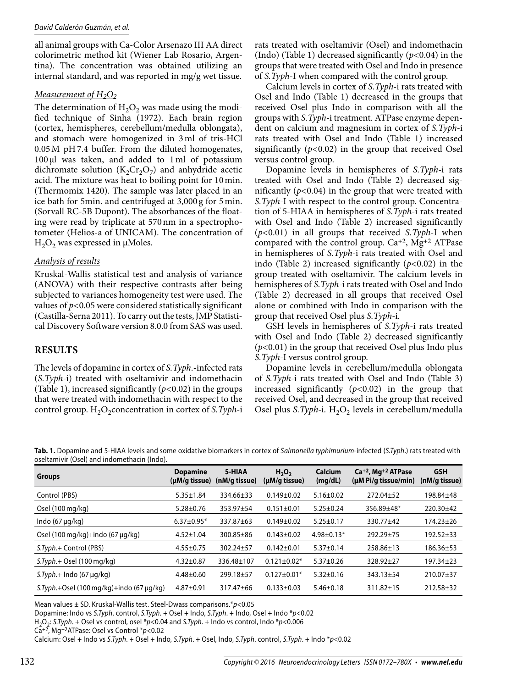all animal groups with Ca-Color Arsenazo III AA direct colorimetric method kit (Wiener Lab Rosario, Argentina). The concentration was obtained utilizing an internal standard, and was reported in mg/g wet tissue.

#### *Measurement of H2O2*

The determination of  $H_2O_2$  was made using the modified technique of Sinha (1972). Each brain region (cortex, hemispheres, cerebellum/medulla oblongata), and stomach were homogenized in 3 ml of tris-HCl 0.05 M pH 7.4 buffer. From the diluted homogenates, 100 μl was taken, and added to 1 ml of potassium dichromate solution  $(K_2Cr_2O_7)$  and anhydride acetic acid. The mixture was heat to boiling point for 10 min. (Thermomix 1420). The sample was later placed in an ice bath for 5min. and centrifuged at 3,000 g for 5 min. (Sorvall RC-5B Dupont). The absorbances of the floating were read by triplicate at 570 nm in a spectrophotometer (Helios-a of UNICAM). The concentration of  $H<sub>2</sub>O<sub>2</sub>$  was expressed in  $\mu$ Moles.

#### *Analysis of results*

Kruskal-Wallis statistical test and analysis of variance (ANOVA) with their respective contrasts after being subjected to variances homogeneity test were used. The values of *p<*0.05 were considered statistically significant (Castilla-Serna 2011). To carry out the tests, JMP Statistical Discovery Software version 8.0.0 from SAS was used.

#### **RESULTS**

The levels of dopamine in cortex of *S.Typh*.-infected rats (*S.Typh-*i) treated with oseltamivir and indomethacin (Table 1), increased significantly (*p<*0.02) in the groups that were treated with indomethacin with respect to the control group. H<sub>2</sub>O<sub>2</sub>concentration in cortex of *S.Typh-*i rats treated with oseltamivir (Osel) and indomethacin (Indo) (Table 1) decreased significantly (*p<*0.04) in the groups that were treated with Osel and Indo in presence of *S.Typh-*I when compared with the control group.

Calcium levels in cortex of *S.Typh-*i rats treated with Osel and Indo (Table 1) decreased in the groups that received Osel plus Indo in comparison with all the groups with *S.Typh-*i treatment. ATPase enzyme dependent on calcium and magnesium in cortex of *S.Typh-*i rats treated with Osel and Indo (Table 1) increased significantly (*p<*0.02) in the group that received Osel versus control group.

Dopamine levels in hemispheres of *S.Typh-*i rats treated with Osel and Indo (Table 2) decreased significantly (*p<*0.04) in the group that were treated with *S.Typh-*I with respect to the control group. Concentration of 5-HIAA in hemispheres of *S.Typh-*i rats treated with Osel and Indo (Table 2) increased significantly (*p<*0.01) in all groups that received *S.Typh-*I when compared with the control group. Ca+2, Mg+2 ATPase in hemispheres of *S.Typh-*i rats treated with Osel and indo (Table 2) increased significantly (*p<*0.02) in the group treated with oseltamivir. The calcium levels in hemispheres of *S.Typh-*i rats treated with Osel and Indo (Table 2) decreased in all groups that received Osel alone or combined with Indo in comparison with the group that received Osel plus *S.Typh-*i.

GSH levels in hemispheres of *S.Typh-*i rats treated with Osel and Indo (Table 2) decreased significantly (*p<*0.01) in the group that received Osel plus Indo plus *S.Typh-*I versus control group.

Dopamine levels in cerebellum/medulla oblongata of *S.Typh-*i rats treated with Osel and Indo (Table 3) increased significantly (*p<*0.02) in the group that received Osel, and decreased in the group that received Osel plus *S.Typh-i*. H<sub>2</sub>O<sub>2</sub> levels in cerebellum/medulla

**Tab. 1.** Dopamine and 5-HIAA levels and some oxidative biomarkers in cortex of Salmonella typhimurium-infected (S.Typh.) rats treated with oseltamivir (Osel) and indomethacin (Indo).

| <b>Groups</b>                                               | <b>Dopamine</b><br>(µM/g tissue) | 5-HIAA<br>(nM/g tissue) | H <sub>2</sub> O <sub>2</sub><br>(µM/g tissue) | <b>Calcium</b><br>(mg/dL) | $Ca+2$ , Mg <sup>+2</sup> ATPase<br>(µM Pi/g tissue/min) | <b>GSH</b><br>(nM/g tissue) |
|-------------------------------------------------------------|----------------------------------|-------------------------|------------------------------------------------|---------------------------|----------------------------------------------------------|-----------------------------|
| Control (PBS)                                               | $5.35 \pm 1.84$                  | 334.66±33               | $0.149 \pm 0.02$                               | $5.16 \pm 0.02$           | 272.04±52                                                | 198.84±48                   |
| Osel $(100 \,\mathrm{mg/kg})$                               | $5.28 \pm 0.76$                  | 353.97±54               | $0.151 \pm 0.01$                               | $5.25 \pm 0.24$           | 356.89±48*                                               | 220.30±42                   |
| Indo $(67 \mu q/kg)$                                        | $6.37 \pm 0.95*$                 | 337.87±63               | $0.149 \pm 0.02$                               | $5.25 \pm 0.17$           | $330.77 + 42$                                            | $174.23 \pm 26$             |
| Osel $(100 \text{ mg/kg}) + \text{indo} (67 \text{ µq/kg})$ | $4.52 \pm 1.04$                  | $300.85 \pm 86$         | $0.143 \pm 0.02$                               | $4.98 \pm 0.13*$          | 292.29±75                                                | 192.52±33                   |
| S.Typh.+ Control (PBS)                                      | $4.55 \pm 0.75$                  | 302.24±57               | $0.142 \pm 0.01$                               | $5.37 \pm 0.14$           | 258.86±13                                                | 186.36±53                   |
| $ST$ <i>yph</i> . + Osel (100 mg/kg)                        | $4.32 \pm 0.87$                  | 336.48±107              | $0.121 \pm 0.02*$                              | $5.37 \pm 0.26$           | 328.92±27                                                | 197.34±23                   |
| $STyph.+$ Indo (67 µg/kg)                                   | $4.48 \pm 0.60$                  | 299.18±57               | $0.127 \pm 0.01*$                              | $5.32 \pm 0.16$           | $343.13 \pm 54$                                          | 210.07±37                   |
| $S$ . Typh. + Osel (100 mg/kg) + indo (67 µg/kg)            | $4.87 + 0.91$                    | 317.47±66               | $0.133 \pm 0.03$                               | $5.46 \pm 0.18$           | $311.82 \pm 15$                                          | $212.58 \pm 32$             |

Mean values  $\pm$  SD. Kruskal-Wallis test. Steel-Dwass comparisons.\* $p$ <0.05

Dopamine: Indo vs S.Typh. control, S.Typh. + Osel + Indo, S.Typh. + Indo, Osel + Indo \*p<0.02

H<sub>2</sub>O<sub>2</sub>: S.Typh. + Osel vs control, osel \*p<0.04 and S.Typh. + Indo vs control, Indo \*p<0.006

Ca+2, Mg+2ATPase: Osel vs Control \*p<0.02

Calcium: Osel + Indo vs S.Typh. + Osel + Indo, S.Typh. + Osel, Indo, S.Typh. control, S.Typh. + Indo \*p<0.02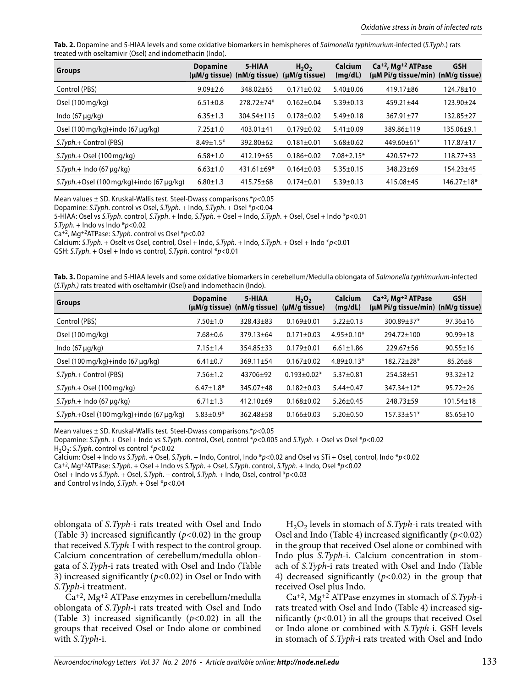**Tab. 2.** Dopamine and 5-HIAA levels and some oxidative biomarkers in hemispheres of Salmonella typhimurium-infected (S.Typh.) rats treated with oseltamivir (Osel) and indomethacin (Indo).

| <b>Groups</b>                                               | <b>Dopamine</b> | 5-HIAA           | $H_2O_2$<br>(µM/g tissue) (nM/g tissue) (µM/g tissue) | <b>Calcium</b><br>(mg/dL) | $Ca+2, Mg+2 ATPase$<br>(µM Pi/q tissue/min) (nM/q tissue) | <b>GSH</b>       |
|-------------------------------------------------------------|-----------------|------------------|-------------------------------------------------------|---------------------------|-----------------------------------------------------------|------------------|
| Control (PBS)                                               | $9.09 \pm 2.6$  | $348.02 + 65$    | $0.171 \pm 0.02$                                      | $5.40 \pm 0.06$           | $419.17 \pm 86$                                           | $124.78 \pm 10$  |
| Osel (100 mg/kg)                                            | $6.51 \pm 0.8$  | $278.72 \pm 74*$ | $0.162 \pm 0.04$                                      | $5.39 \pm 0.13$           | $459.21 \pm 44$                                           | 123.90±24        |
| Indo $(67 \mu q/kg)$                                        | $6.35 \pm 1.3$  | 304.54±115       | $0.178 + 0.02$                                        | $5.49 \pm 0.18$           | $367.91 \pm 77$                                           | $132.85 \pm 27$  |
| Osel $(100 \text{ mg/kg}) + \text{indo} (67 \text{ µq/kg})$ | $7.25 \pm 1.0$  | 403.01±41        | $0.179 \pm 0.02$                                      | $5.41 \pm 0.09$           | 389.86±119                                                | 135.06±9.1       |
| S.Typh.+ Control (PBS)                                      | $8.49 \pm 1.5*$ | $392.80 + 62$    | $0.181 \pm 0.01$                                      | $5.68 \pm 0.62$           | $449.60 \pm 61*$                                          | $117.87 \pm 17$  |
| $ST yph + Osel (100 mg/kg)$                                 | $6.58 \pm 1.0$  | $412.19 \pm 65$  | $0.186 \pm 0.02$                                      | $7.08 \pm 2.15*$          | $420.57 + 72$                                             | $118.77 \pm 33$  |
| $S.Typh.+$ Indo (67 µg/kg)                                  | $6.63 \pm 1.0$  | $431.61 \pm 69*$ | $0.164 \pm 0.03$                                      | $5.35 \pm 0.15$           | 348.23±69                                                 | $154.23 + 45$    |
| $S$ . Typh. + Osel (100 mg/kg) + indo (67 µg/kg)            | $6.80 \pm 1.3$  | $415.75 \pm 68$  | $0.174 + 0.01$                                        | $5.39 \pm 0.13$           | $415.08 + 45$                                             | $146.27 \pm 18*$ |

Mean values  $\pm$  SD. Kruskal-Wallis test. Steel-Dwass comparisons.\* $p$ <0.05

Dopamine: S.Typh. control vs Osel, S.Typh. + Indo, S.Typh. + Osel \*p<0.04

5-HIAA: Osel vs S.Typh. control, S.Typh. + Indo, S.Typh. + Osel + Indo, S.Typh. + Osel, Osel + Indo \*p<0.01

S.Typh. + Indo vs Indo  $p$ <0.02

Ca+2, Mg+2ATPase: S.Typh. control vs Osel \*p<0.02

Calcium: S.Typh. + Oselt vs Osel, control, Osel + Indo, S.Typh. + Indo, S.Typh. + Osel + Indo \*p<0.01

GSH: S.Typh. + Osel + Indo vs control, S.Typh. control  $p$ <0.01

**Tab. 3.** Dopamine and 5-HIAA levels and some oxidative biomarkers in cerebellum/Medulla oblongata of Salmonella typhimurium-infected (S.Typh.) rats treated with oseltamivir (Osel) and indomethacin (Indo).

| <b>Groups</b>                                               | <b>Dopamine</b>  | 5-HIAA          | H <sub>2</sub> O <sub>2</sub><br>$(\mu M/g \text{ tissue})$ (nM/g tissue) ( $\mu M/g \text{ tissue}$ ) | <b>Calcium</b><br>(mg/dL) | $Ca+2$ , Mg <sup>+2</sup> ATPase<br>(µM Pi/g tissue/min) (nM/g tissue) | <b>GSH</b>      |
|-------------------------------------------------------------|------------------|-----------------|--------------------------------------------------------------------------------------------------------|---------------------------|------------------------------------------------------------------------|-----------------|
| Control (PBS)                                               | $7.50 \pm 1.0$   | $328.43 \pm 83$ | $0.169 \pm 0.01$                                                                                       | $5.22 \pm 0.13$           | $300.89 \pm 37*$                                                       | $97.36 \pm 16$  |
| Osel (100 mg/kg)                                            | $7.68 + 0.6$     | $379.13 \pm 64$ | $0.171 \pm 0.03$                                                                                       | $4.95 \pm 0.10*$          | 294.72±100                                                             | $90.99 \pm 18$  |
| Indo $(67 \mu q/kg)$                                        | $7.15 \pm 1.4$   | $354.85 \pm 33$ | $0.179 + 0.01$                                                                                         | $6.61 \pm 1.86$           | $229.67 + 56$                                                          | $90.55 \pm 16$  |
| Osel $(100 \text{ mg/kg}) + \text{indo} (67 \text{ µq/kg})$ | $6.41 \pm 0.7$   | $369.11 \pm 54$ | $0.167 + 0.02$                                                                                         | $4.89 \pm 0.13*$          | $182.72 \pm 28*$                                                       | $85.26 \pm 8$   |
| S.Typh.+ Control (PBS)                                      | $7.56 \pm 1.2$   | 43706+92        | $0.193 \pm 0.02*$                                                                                      | $5.37 \pm 0.81$           | $254.58 + 51$                                                          | $93.32 \pm 12$  |
| $ST yph. + Osel (100 mg/kg)$                                | $6.47 \pm 1.8^*$ | 345.07±48       | $0.182 + 0.03$                                                                                         | $5.44 \pm 0.47$           | $347.34 \pm 12*$                                                       | $95.72 \pm 26$  |
| $S.Typh.+$ Indo (67 µg/kg)                                  | $6.71 \pm 1.3$   | $412.10\pm69$   | $0.168 + 0.02$                                                                                         | $5.26 \pm 0.45$           | $248.73 + 59$                                                          | $101.54 \pm 18$ |
| $S$ . Typh. + Osel (100 mg/kg) + indo (67 µg/kg)            | $5.83 \pm 0.9*$  | $362.48 \pm 58$ | $0.166 \pm 0.03$                                                                                       | $5.20 \pm 0.50$           | $157.33 \pm 51*$                                                       | $85.65 \pm 10$  |

Mean values  $\pm$  SD. Kruskal-Wallis test. Steel-Dwass comparisons.\* $p$ <0.05

Dopamine: S.Typh. + Osel + Indo vs S.Typh. control, Osel, control \*p<0.005 and S.Typh. + Osel vs Osel \*p<0.02

 $H_2O_2$ : S.Typh. control vs control \*p<0.02

Calcium: Osel + Indo vs S.Typh. + Osel, S.Typh. + Indo, Control, Indo \*p<0.02 and Osel vs STi + Osel, control, Indo \*p<0.02

Ca<sup>+2</sup>, Mg<sup>+2</sup>ATPase: S.Typh. + Osel + Indo vs S.Typh. + Osel, S.Typh. control, S.Typh. + Indo, Osel \*p<0.02

Osel + Indo vs S.Typh. + Osel, S.Typh. + control, S.Typh. + Indo, Osel, control \*p<0.03

and Control vs Indo, S.Typh. + Osel  $*p<0.04$ 

oblongata of *S.Typh-*i rats treated with Osel and Indo (Table 3) increased significantly (*p<*0.02) in the group that received *S.Typh-*I with respect to the control group. Calcium concentration of cerebellum/medulla oblongata of *S.Typh-*i rats treated with Osel and Indo (Table 3) increased significantly (*p<*0.02) in Osel or Indo with *S.Typh-*i treatment.

Ca+2, Mg+2 ATPase enzymes in cerebellum/medulla oblongata of *S.Typh-*i rats treated with Osel and Indo (Table 3) increased significantly (*p<*0.02) in all the groups that received Osel or Indo alone or combined with *S.Typh-*i.

H2O2 levels in stomach of *S.Typh-*i rats treated with Osel and Indo (Table 4) increased significantly (*p<*0.02) in the group that received Osel alone or combined with Indo plus *S.Typh-*i. Calcium concentration in stomach of *S.Typh-*i rats treated with Osel and Indo (Table 4) decreased significantly (*p<*0.02) in the group that received Osel plus Indo.

Ca+2, Mg+2 ATPase enzymes in stomach of *S.Typh-*i rats treated with Osel and Indo (Table 4) increased significantly (*p<*0.01) in all the groups that received Osel or Indo alone or combined with *S.Typh-*i. GSH levels in stomach of *S.Typh-*i rats treated with Osel and Indo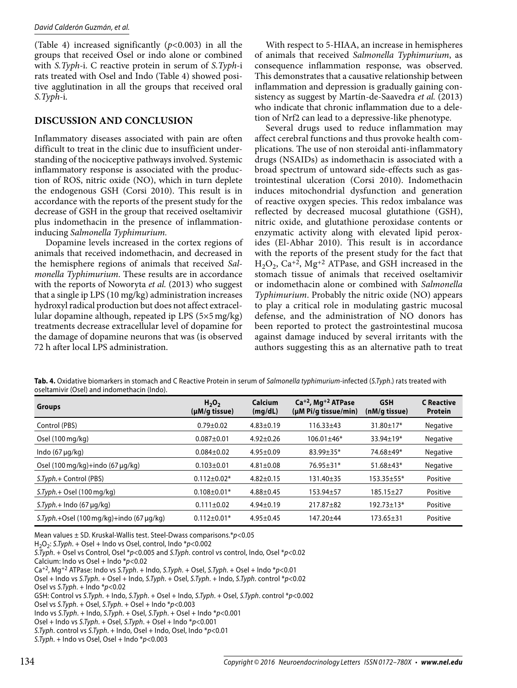(Table 4) increased significantly (*p<*0.003) in all the groups that received Osel or indo alone or combined with *S.Typh-*i. C reactive protein in serum of *S.Typh-*i rats treated with Osel and Indo (Table 4) showed positive agglutination in all the groups that received oral *S.Typh-*i.

### **DISCUSSION AND CONCLUSION**

Inflammatory diseases associated with pain are often difficult to treat in the clinic due to insufficient understanding of the nociceptive pathways involved. Systemic inflammatory response is associated with the production of ROS, nitric oxide (NO), which in turn deplete the endogenous GSH (Corsi 2010). This result is in accordance with the reports of the present study for the decrease of GSH in the group that received oseltamivir plus indomethacin in the presence of inflammationinducing *Salmonella Typhimurium.* 

Dopamine levels increased in the cortex regions of animals that received indomethacin, and decreased in the hemisphere regions of animals that received *Salmonella Typhimurium*. These results are in accordance with the reports of Noworyta *et al.* (2013) who suggest that a single ip LPS (10 mg/kg) administration increases hydroxyl radical production but does not affect extracellular dopamine although, repeated ip LPS (5×5 mg/kg) treatments decrease extracellular level of dopamine for the damage of dopamine neurons that was (is observed 72 h after local LPS administration.

With respect to 5-HIAA, an increase in hemispheres of animals that received *Salmonella Typhimurium*, as consequence inflammation response, was observed. This demonstrates that a causative relationship between inflammation and depression is gradually gaining consistency as suggest by Martín-de-Saavedra *et al.* (2013) who indicate that chronic inflammation due to a deletion of Nrf2 can lead to a depressive-like phenotype.

Several drugs used to reduce inflammation may affect cerebral functions and thus provoke health complications. The use of non steroidal anti-inflammatory drugs (NSAIDs) as indomethacin is associated with a broad spectrum of untoward side-effects such as gastrointestinal ulceration (Corsi 2010). Indomethacin induces mitochondrial dysfunction and generation of reactive oxygen species. This redox imbalance was reflected by decreased mucosal glutathione (GSH), nitric oxide, and glutathione peroxidase contents or enzymatic activity along with elevated lipid peroxides (El-Abhar 2010). This result is in accordance with the reports of the present study for the fact that  $H_2O_2$ , Ca<sup>+2</sup>, Mg<sup>+2</sup> ATPase, and GSH increased in the stomach tissue of animals that received oseltamivir or indomethacin alone or combined with *Salmonella Typhimurium*. Probably the nitric oxide (NO) appears to play a critical role in modulating gastric mucosal defense, and the administration of NO donors has been reported to protect the gastrointestinal mucosa against damage induced by several irritants with the authors suggesting this as an alternative path to treat

| Tab. 4. Oxidative biomarkers in stomach and C Reactive Protein in serum of Salmonella typhimurium-infected (S.Typh.) rats treated with |  |
|----------------------------------------------------------------------------------------------------------------------------------------|--|
| oseltamivir (Osel) and indomethacin (Indo).                                                                                            |  |

| <b>Groups</b>                                               | H <sub>2</sub> O <sub>2</sub><br>$(\mu M/g \t{tissue})$ | <b>Calcium</b><br>(mg/dL) | $Ca+2$ , Mg <sup>+2</sup> ATPase<br>(µM Pi/g tissue/min) | <b>GSH</b><br>(nM/g tissue) | <b>C</b> Reactive<br><b>Protein</b> |
|-------------------------------------------------------------|---------------------------------------------------------|---------------------------|----------------------------------------------------------|-----------------------------|-------------------------------------|
| Control (PBS)                                               | $0.79 \pm 0.02$                                         | $4.83 \pm 0.19$           | $116.33 \pm 43$                                          | $31.80 \pm 17*$             | Negative                            |
| Osel (100 mg/kg)                                            | $0.087 + 0.01$                                          | $4.92 \pm 0.26$           | $106.01 \pm 46*$                                         | $33.94 \pm 19*$             | Negative                            |
| Indo $(67 \mu g/kg)$                                        | $0.084 \pm 0.02$                                        | $4.95 \pm 0.09$           | $83.99 \pm 35*$                                          | 74.68±49*                   | Negative                            |
| Osel $(100 \text{ mg/kg}) + \text{indo} (67 \text{ µq/kg})$ | $0.103 \pm 0.01$                                        | $4.81 \pm 0.08$           | $76.95 \pm 31*$                                          | $51.68 \pm 43*$             | Negative                            |
| S.Typh.+ Control (PBS)                                      | $0.112 \pm 0.02*$                                       | $4.82 \pm 0.15$           | 131.40±35                                                | 153.35±55*                  | Positive                            |
| $ST$ <i>yph.</i> + Osel (100 mg/kg)                         | $0.108 \pm 0.01*$                                       | $4.88 \pm 0.45$           | 153.94±57                                                | $185.15 \pm 27$             | Positive                            |
| $S.Typh.+$ Indo (67 µg/kg)                                  | $0.111 \pm 0.02$                                        | $4.94 \pm 0.19$           | 217.87±82                                                | $192.73 \pm 13*$            | Positive                            |
| S.Typh.+Osel (100 mg/kg)+indo (67 µg/kg)                    | $0.112 \pm 0.01*$                                       | $4.95 \pm 0.45$           | $147.20 \pm 44$                                          | $173.65 \pm 31$             | Positive                            |

Mean values  $\pm$  SD. Kruskal-Wallis test. Steel-Dwass comparisons.\* $p$ <0.05

 $H<sub>2</sub>O<sub>2</sub>$ : S.Typh. + Osel + Indo vs Osel, control, Indo \*p<0.002

S.Typh. + Osel vs Control, Osel \*p<0.005 and S.Typh. control vs control, Indo, Osel \*p<0.02

```
Calcium: Indo vs Osel + Indo p<0.02
```
Ca<sup>+2</sup>, Mg<sup>+2</sup> ATPase: Indo vs S.Typh. + Indo, S.Typh. + Osel, S.Typh. + Osel + Indo \*p<0.01

Osel + Indo vs S.Typh. + Osel + Indo, S.Typh. + Osel, S.Typh. + Indo, S.Typh. control \*p<0.02

Osel vs S.Typh. + Indo  $p$ <0.02

GSH: Control vs S.Typh. + Indo, S.Typh. + Osel + Indo, S.Typh. + Osel, S.Typh. control \*p<0.002

Osel vs S.Typh. + Osel, S.Typh. + Osel + Indo  $*p$ <0.003

S.Typh. control vs S.Typh. + Indo, Osel + Indo, Osel, Indo \*p<0.01

S.Typh. + Indo vs Osel, Osel + Indo  $* p < 0.003$ 

Indo vs S.Typh. + Indo, S.Typh. + Osel, S.Typh. + Osel + Indo  $p$ <0.001

Osel + Indo vs S.Typh. + Osel, S.Typh. + Osel + Indo  $p$  < 0.001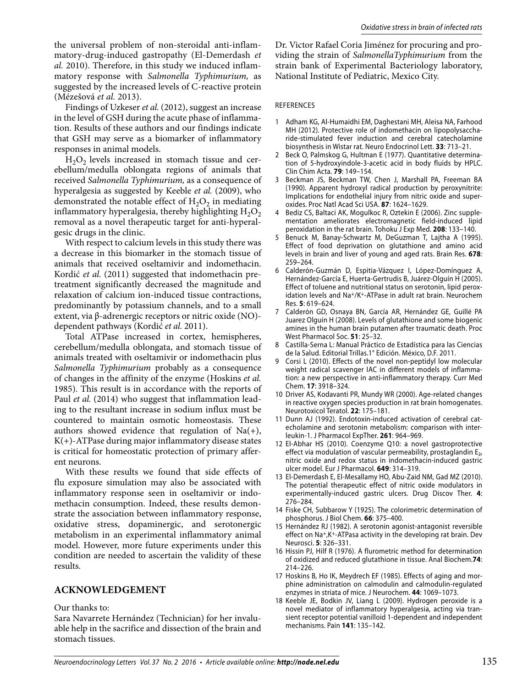the universal problem of non-steroidal anti-inflammatory-drug-induced gastropathy (El-Demerdash *et al.* 2010). Therefore, in this study we induced inflammatory response with *Salmonella Typhimurium,* as suggested by the increased levels of C-reactive protein (Mézešová *et al.* 2013).

Findings of Uzkeser *et al.* (2012), suggest an increase in the level of GSH during the acute phase of inflammation. Results of these authors and our findings indicate that GSH may serve as a biomarker of inflammatory responses in animal models.

 $H_2O_2$  levels increased in stomach tissue and cerebellum/medulla oblongata regions of animals that received *Salmonella Typhimurium,* as a consequence of hyperalgesia as suggested by Keeble *et al.* (2009), who demonstrated the notable effect of  $H_2O_2$  in mediating inflammatory hyperalgesia, thereby highlighting  $H_2O_2$ removal as a novel therapeutic target for anti-hyperalgesic drugs in the clinic.

With respect to calcium levels in this study there was a decrease in this biomarker in the stomach tissue of animals that received oseltamivir and indomethacin. Kordić et al. (2011) suggested that indomethacin pretreatment significantly decreased the magnitude and relaxation of calcium ion-induced tissue contractions, predominantly by potassium channels, and to a small extent, via β-adrenergic receptors or nitric oxide (NO) dependent pathways (Kordić *et al.* 2011).

Total ATPase increased in cortex, hemispheres, cerebellum/medulla oblongata, and stomach tissue of animals treated with oseltamivir or indomethacin plus *Salmonella Typhimurium* probably as a consequence of changes in the affinity of the enzyme (Hoskins *et al.*  1985). This result is in accordance with the reports of Paul *et al.* (2014) who suggest that inflammation leading to the resultant increase in sodium influx must be countered to maintain osmotic homeostasis. These authors showed evidence that regulation of  $Na(+)$ ,  $K(+)$ -ATPase during major inflammatory disease states is critical for homeostatic protection of primary afferent neurons.

With these results we found that side effects of flu exposure simulation may also be associated with inflammatory response seen in oseltamivir or indomethacin consumption. Indeed, these results demonstrate the association between inflammatory response, oxidative stress, dopaminergic, and serotonergic metabolism in an experimental inflammatory animal model. However, more future experiments under this condition are needed to ascertain the validity of these results.

#### **ACKNOWLEDGEMENT**

Our thanks to:

Sara Navarrete Hernández (Technician) for her invaluable help in the sacrifice and dissection of the brain and stomach tissues.

Dr. Victor Rafael Coria Jiménez for procuring and providing the strain of *SalmonellaTyphimurium* from the strain bank of Experimental Bacteriology laboratory, National Institute of Pediatric, Mexico City.

#### REFERENCES

- 1 Adham KG, Al-Humaidhi EM, Daghestani MH, Aleisa NA, Farhood MH (2012). Protective role of indomethacin on lipopolysaccharide-stimulated fever induction and cerebral catecholamine biosynthesis in Wistar rat. Neuro Endocrinol Lett. **33**: 713–21.
- 2 Beck O, Palmskog G, Hultman E (1977). Quantitative determination of 5-hydroxyindole-3-acetic acid in body fluids by HPLC. Clin Chim Acta. **79**: 149–154.
- 3 Beckman JS, Beckman TW, Chen J, Marshall PA, Freeman BA (1990). Apparent hydroxyl radical production by peroxynitrite: Implications for endothelial injury from nitric oxide and superoxides. Proc Natl Acad Sci USA. **87**: 1624–1629.
- 4 Bediz CS, Baltaci AK, Mogulkoc R, Oztekin E (2006). Zinc supplementation ameliorates electromagnetic field-induced lipid peroxidation in the rat brain. Tohoku J Exp Med. **208**: 133–140.
- 5 Benuck M, Banay-Schwartz M, DeGuzman T, Lajtha A (1995). Effect of food deprivation on glutathione and amino acid levels in brain and liver of young and aged rats. Brain Res. **678**: 259–264.
- 6 Calderón-Guzmán D, Espitia-Vázquez I, López-Domínguez A, Hernández-García E, Huerta-Gertrudis B, Juárez-Olguín H (2005). Effect of toluene and nutritional status on serotonin, lipid peroxidation levels and Na+/K+-ATPase in adult rat brain. Neurochem Res. **5**: 619–624.
- 7 Calderón GD, Osnaya BN, García AR, Hernández GE, Guillé PA Juarez Olguin H (2008). Levels of glutathione and some biogenic amines in the human brain putamen after traumatic death. Proc West Pharmacol Soc. **51**: 25–32.
- 8 Castilla-Serna L: Manual Práctico de Estadística para las Ciencias de la Salud. Editorial Trillas.1° Edición. México, D.F. 2011.
- 9 Corsi L (2010). Effects of the novel non-peptidyl low molecular weight radical scavenger IAC in different models of inflammation: a new perspective in anti-inflammatory therapy. Curr Med Chem. **17**: 3918–324.
- 10 Driver AS, Kodavanti PR, Mundy WR (2000). Age-related changes in reactive oxygen species production in rat brain homogenates. Neurotoxicol Teratol. **22**: 175–181.
- 11 Dunn AJ (1992). Endotoxin-induced activation of cerebral catecholamine and serotonin metabolism: comparison with interleukin-1. J Pharmacol ExpTher. **261**: 964–969.
- 12 El-Abhar HS (2010). Coenzyme Q10: a novel gastroprotective effect via modulation of vascular permeability, prostaglandin  $E<sub>2</sub>$ , nitric oxide and redox status in indomethacin-induced gastric ulcer model. Eur J Pharmacol. **649**: 314–319.
- 13 El-Demerdash E, El-Mesallamy HO, Abu-Zaid NM, Gad MZ (2010). The potential therapeutic effect of nitric oxide modulators in experimentally-induced gastric ulcers. Drug Discov Ther. **4**: 276–284.
- 14 Fiske CH, Subbarow Y (1925). The colorimetric determination of phosphorus. J Biol Chem. **66**: 375–400.
- 15 Hernández RJ (1982). A serotonin agonist-antagonist reversible effect on Na+,K+-ATPasa activity in the developing rat brain. Dev Neurosci. **5**: 326–331.
- 16 Hissin PJ, Hilf R (1976). A flurometric method for determination of oxidized and reduced glutathione in tissue. Anal Biochem.**74**: 214–226.
- 17 Hoskins B, Ho IK, Meydrech EF (1985). Effects of aging and morphine administration on calmodulin and calmodulin-regulated enzymes in striata of mice. J Neurochem. **44**: 1069–1073.
- 18 Keeble JE, Bodkin JV, Liang L (2009). Hydrogen peroxide is a novel mediator of inflammatory hyperalgesia, acting via transient receptor potential vanilloid 1-dependent and independent mechanisms. Pain **141**: 135–142.